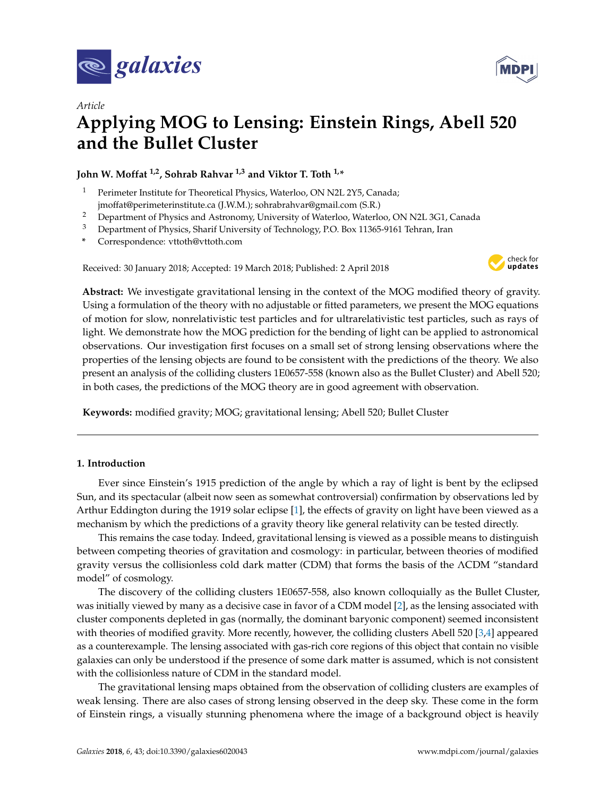



# *Article* **Applying MOG to Lensing: Einstein Rings, Abell 520 and the Bullet Cluster**

**John W. Moffat 1,2, Sohrab Rahvar 1,3 and Viktor T. Toth 1,\***

- <sup>1</sup> Perimeter Institute for Theoretical Physics, Waterloo, ON N2L 2Y5, Canada; jmoffat@perimeterinstitute.ca (J.W.M.); sohrabrahvar@gmail.com (S.R.)
- <sup>2</sup> Department of Physics and Astronomy, University of Waterloo, Waterloo, ON N2L 3G1, Canada<br><sup>3</sup> Department of Physics Charif University of Tashmala and O. Bay 11265 0161 Tahung June
- <sup>3</sup> Department of Physics, Sharif University of Technology, P.O. Box 11365-9161 Tehran, Iran
- **\*** Correspondence: vttoth@vttoth.com

Received: 30 January 2018; Accepted: 19 March 2018; Published: 2 April 2018



**Abstract:** We investigate gravitational lensing in the context of the MOG modified theory of gravity. Using a formulation of the theory with no adjustable or fitted parameters, we present the MOG equations of motion for slow, nonrelativistic test particles and for ultrarelativistic test particles, such as rays of light. We demonstrate how the MOG prediction for the bending of light can be applied to astronomical observations. Our investigation first focuses on a small set of strong lensing observations where the properties of the lensing objects are found to be consistent with the predictions of the theory. We also present an analysis of the colliding clusters 1E0657-558 (known also as the Bullet Cluster) and Abell 520; in both cases, the predictions of the MOG theory are in good agreement with observation.

**Keywords:** modified gravity; MOG; gravitational lensing; Abell 520; Bullet Cluster

# **1. Introduction**

Ever since Einstein's 1915 prediction of the angle by which a ray of light is bent by the eclipsed Sun, and its spectacular (albeit now seen as somewhat controversial) confirmation by observations led by Arthur Eddington during the 1919 solar eclipse [\[1\]](#page-11-0), the effects of gravity on light have been viewed as a mechanism by which the predictions of a gravity theory like general relativity can be tested directly.

This remains the case today. Indeed, gravitational lensing is viewed as a possible means to distinguish between competing theories of gravitation and cosmology: in particular, between theories of modified gravity versus the collisionless cold dark matter (CDM) that forms the basis of the ΛCDM "standard model" of cosmology.

The discovery of the colliding clusters 1E0657-558, also known colloquially as the Bullet Cluster, was initially viewed by many as a decisive case in favor of a CDM model [\[2\]](#page-11-1), as the lensing associated with cluster components depleted in gas (normally, the dominant baryonic component) seemed inconsistent with theories of modified gravity. More recently, however, the colliding clusters Abell 520 [\[3](#page-11-2)[,4\]](#page-11-3) appeared as a counterexample. The lensing associated with gas-rich core regions of this object that contain no visible galaxies can only be understood if the presence of some dark matter is assumed, which is not consistent with the collisionless nature of CDM in the standard model.

The gravitational lensing maps obtained from the observation of colliding clusters are examples of weak lensing. There are also cases of strong lensing observed in the deep sky. These come in the form of Einstein rings, a visually stunning phenomena where the image of a background object is heavily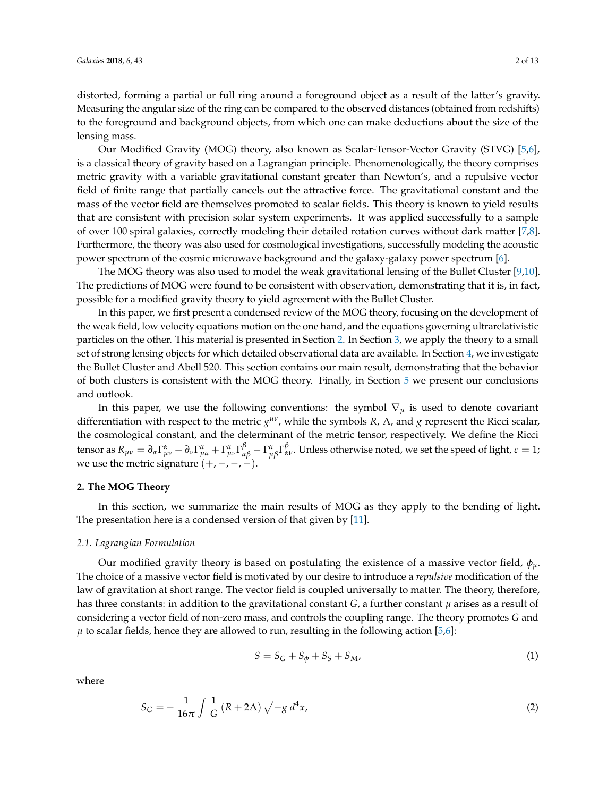distorted, forming a partial or full ring around a foreground object as a result of the latter's gravity. Measuring the angular size of the ring can be compared to the observed distances (obtained from redshifts) to the foreground and background objects, from which one can make deductions about the size of the lensing mass.

Our Modified Gravity (MOG) theory, also known as Scalar-Tensor-Vector Gravity (STVG) [\[5](#page-11-4)[,6\]](#page-11-5), is a classical theory of gravity based on a Lagrangian principle. Phenomenologically, the theory comprises metric gravity with a variable gravitational constant greater than Newton's, and a repulsive vector field of finite range that partially cancels out the attractive force. The gravitational constant and the mass of the vector field are themselves promoted to scalar fields. This theory is known to yield results that are consistent with precision solar system experiments. It was applied successfully to a sample of over 100 spiral galaxies, correctly modeling their detailed rotation curves without dark matter [\[7](#page-11-6)[,8\]](#page-12-0). Furthermore, the theory was also used for cosmological investigations, successfully modeling the acoustic power spectrum of the cosmic microwave background and the galaxy-galaxy power spectrum [\[6\]](#page-11-5).

The MOG theory was also used to model the weak gravitational lensing of the Bullet Cluster [\[9](#page-12-1)[,10\]](#page-12-2). The predictions of MOG were found to be consistent with observation, demonstrating that it is, in fact, possible for a modified gravity theory to yield agreement with the Bullet Cluster.

In this paper, we first present a condensed review of the MOG theory, focusing on the development of the weak field, low velocity equations motion on the one hand, and the equations governing ultrarelativistic particles on the other. This material is presented in Section [2.](#page-1-0) In Section [3,](#page-5-0) we apply the theory to a small set of strong lensing objects for which detailed observational data are available. In Section [4,](#page-7-0) we investigate the Bullet Cluster and Abell 520. This section contains our main result, demonstrating that the behavior of both clusters is consistent with the MOG theory. Finally, in Section [5](#page-11-7) we present our conclusions and outlook.

In this paper, we use the following conventions: the symbol  $\nabla_{\mu}$  is used to denote covariant differentiation with respect to the metric *g<sup>μν</sup>*, while the symbols *R*, Λ, and *g* represent the Ricci scalar, the cosmological constant, and the determinant of the metric tensor, respectively. We define the Ricci tensor as  $R_{\mu\nu}=\partial_\alpha\Gamma^\alpha_{\mu\nu}-\partial_\nu\Gamma^\alpha_{\mu\alpha}+\Gamma^\alpha_{\mu\nu}\Gamma^\beta_{\alpha\beta}-\Gamma^\alpha_{\mu\beta}\Gamma^\beta_{\alpha\nu}.$  Unless otherwise noted, we set the speed of light,  $c=1;$ we use the metric signature  $(+, -, -, -)$ .

# <span id="page-1-0"></span>**2. The MOG Theory**

In this section, we summarize the main results of MOG as they apply to the bending of light. The presentation here is a condensed version of that given by [\[11\]](#page-12-3).

#### <span id="page-1-1"></span>*2.1. Lagrangian Formulation*

Our modified gravity theory is based on postulating the existence of a massive vector field, *φµ*. The choice of a massive vector field is motivated by our desire to introduce a *repulsive* modification of the law of gravitation at short range. The vector field is coupled universally to matter. The theory, therefore, has three constants: in addition to the gravitational constant *G*, a further constant *µ* arises as a result of considering a vector field of non-zero mass, and controls the coupling range. The theory promotes *G* and  $\mu$  to scalar fields, hence they are allowed to run, resulting in the following action [\[5,](#page-11-4)[6\]](#page-11-5):

$$
S = S_G + S_\phi + S_S + S_M,\tag{1}
$$

where

$$
S_G = -\frac{1}{16\pi} \int \frac{1}{G} \left( R + 2\Lambda \right) \sqrt{-g} \, d^4x,\tag{2}
$$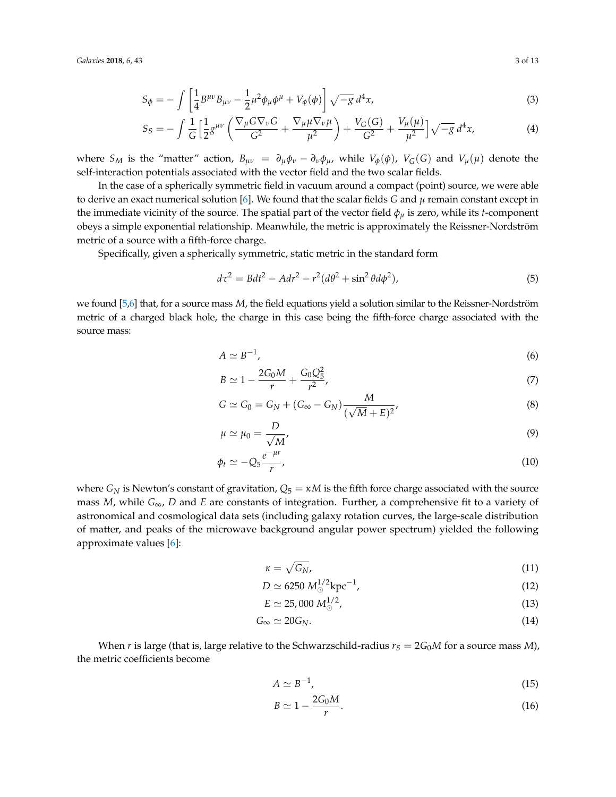*Galaxies* **2018**, *6*, 43 3 of 13

$$
S_{\phi} = -\int \left[ \frac{1}{4} B^{\mu \nu} B_{\mu \nu} - \frac{1}{2} \mu^2 \phi_{\mu} \phi^{\mu} + V_{\phi}(\phi) \right] \sqrt{-g} \, d^4 x,\tag{3}
$$

$$
S_S = -\int \frac{1}{G} \left[ \frac{1}{2} g^{\mu \nu} \left( \frac{\nabla_{\mu} G \nabla_{\nu} G}{G^2} + \frac{\nabla_{\mu} \mu \nabla_{\nu} \mu}{\mu^2} \right) + \frac{V_G(G)}{G^2} + \frac{V_{\mu}(\mu)}{\mu^2} \right] \sqrt{-g} \, d^4 x,\tag{4}
$$

where  $S_M$  is the "matter" action,  $B_{\mu\nu} = \partial_\mu \phi_\nu - \partial_\nu \phi_\mu$ , while  $V_\phi(\phi)$ ,  $V_G(G)$  and  $V_\mu(\mu)$  denote the self-interaction potentials associated with the vector field and the two scalar fields.

In the case of a spherically symmetric field in vacuum around a compact (point) source, we were able to derive an exact numerical solution [\[6\]](#page-11-5). We found that the scalar fields *G* and *µ* remain constant except in the immediate vicinity of the source. The spatial part of the vector field *φ<sup>µ</sup>* is zero, while its *t*-component obeys a simple exponential relationship. Meanwhile, the metric is approximately the Reissner-Nordström metric of a source with a fifth-force charge.

Specifically, given a spherically symmetric, static metric in the standard form

$$
d\tau^2 = Bdt^2 - Adr^2 - r^2(d\theta^2 + \sin^2\theta d\phi^2),
$$
\n(5)

we found [\[5](#page-11-4)[,6\]](#page-11-5) that, for a source mass *M*, the field equations yield a solution similar to the Reissner-Nordström metric of a charged black hole, the charge in this case being the fifth-force charge associated with the source mass:

$$
A \simeq B^{-1},\tag{6}
$$

$$
B \simeq 1 - \frac{2G_0 M}{r} + \frac{G_0 Q_5^2}{r^2},\tag{7}
$$

$$
G \simeq G_0 = G_N + (G_\infty - G_N) \frac{M}{(\sqrt{M} + E)^2},\tag{8}
$$

$$
\mu \simeq \mu_0 = \frac{D}{\sqrt{M}},\tag{9}
$$

$$
\phi_t \simeq -Q_5 \frac{e^{-\mu r}}{r},\tag{10}
$$

where  $G_N$  is Newton's constant of gravitation,  $Q_5 = \kappa M$  is the fifth force charge associated with the source mass *M*, while  $G_{\infty}$ , *D* and *E* are constants of integration. Further, a comprehensive fit to a variety of astronomical and cosmological data sets (including galaxy rotation curves, the large-scale distribution of matter, and peaks of the microwave background angular power spectrum) yielded the following approximate values [\[6\]](#page-11-5):

<span id="page-2-0"></span>
$$
\kappa = \sqrt{G_N},\tag{11}
$$

$$
D \simeq 6250 \ M_{\odot}^{1/2} \text{kpc}^{-1},\tag{12}
$$

$$
E \simeq 25,000 \ M_{\odot}^{1/2},\tag{13}
$$

$$
G_{\infty} \simeq 20 G_N. \tag{14}
$$

When *r* is large (that is, large relative to the Schwarzschild-radius  $r_S = 2G_0M$  for a source mass *M*), the metric coefficients become

$$
A \simeq B^{-1},\tag{15}
$$

$$
B \simeq 1 - \frac{2G_0 M}{r}.\tag{16}
$$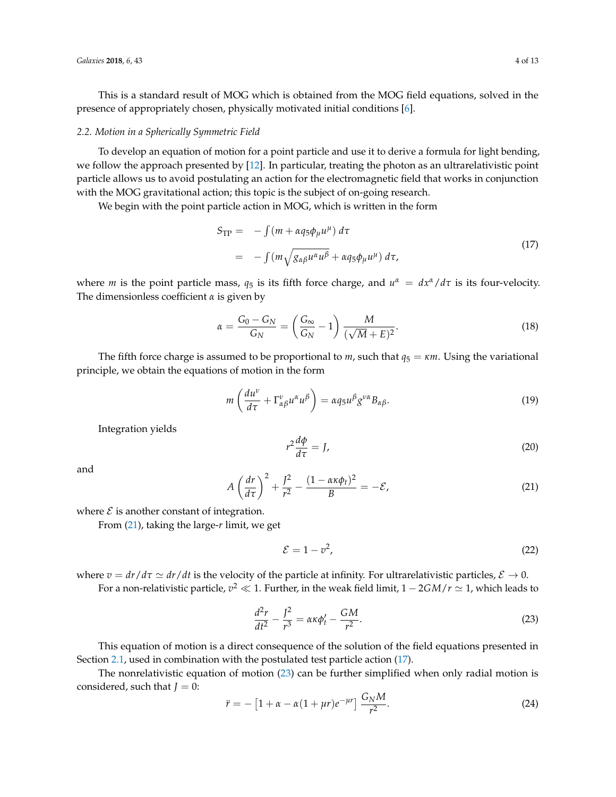This is a standard result of MOG which is obtained from the MOG field equations, solved in the presence of appropriately chosen, physically motivated initial conditions [\[6\]](#page-11-5).

## *2.2. Motion in a Spherically Symmetric Field*

To develop an equation of motion for a point particle and use it to derive a formula for light bending, we follow the approach presented by [\[12\]](#page-12-4). In particular, treating the photon as an ultrarelativistic point particle allows us to avoid postulating an action for the electromagnetic field that works in conjunction with the MOG gravitational action; this topic is the subject of on-going research.

We begin with the point particle action in MOG, which is written in the form

<span id="page-3-1"></span>
$$
S_{\text{TP}} = -\int (m + \alpha q_5 \phi_\mu u^\mu) d\tau
$$
  
= 
$$
-\int (m \sqrt{g_{\alpha\beta} u^\alpha u^\beta} + \alpha q_5 \phi_\mu u^\mu) d\tau,
$$
 (17)

where *m* is the point particle mass,  $q_5$  is its fifth force charge, and  $u^{\alpha} = dx^{\alpha}/d\tau$  is its four-velocity. The dimensionless coefficient *α* is given by

<span id="page-3-5"></span>
$$
\alpha = \frac{G_0 - G_N}{G_N} = \left(\frac{G_\infty}{G_N} - 1\right) \frac{M}{(\sqrt{M} + E)^2}.\tag{18}
$$

The fifth force charge is assumed to be proportional to *m*, such that  $q_5 = \kappa m$ . Using the variational principle, we obtain the equations of motion in the form

$$
m\left(\frac{du^{\nu}}{d\tau}+\Gamma^{\nu}_{\alpha\beta}u^{\alpha}u^{\beta}\right)=\alpha q_{5}u^{\beta}g^{\nu\alpha}B_{\alpha\beta}.
$$
\n(19)

Integration yields

<span id="page-3-4"></span>
$$
r^2 \frac{d\phi}{d\tau} = J,\tag{20}
$$

and

<span id="page-3-0"></span>
$$
A\left(\frac{dr}{d\tau}\right)^2 + \frac{J^2}{r^2} - \frac{(1 - \alpha\kappa\phi_t)^2}{B} = -\mathcal{E},\tag{21}
$$

where  $\mathcal E$  is another constant of integration.

From [\(21\)](#page-3-0), taking the large-*r* limit, we get

$$
\mathcal{E} = 1 - v^2,\tag{22}
$$

where  $v = dr/d\tau \simeq dr/dt$  is the velocity of the particle at infinity. For ultrarelativistic particles,  $\mathcal{E} \to 0$ . For a non-relativistic particle*,*  $v^2 \ll 1$ . Further, in the weak field limit,  $1 - 2 G M / r \simeq 1$ , which leads to

<span id="page-3-2"></span>
$$
\frac{d^2r}{dt^2} - \frac{J^2}{r^3} = \alpha \kappa \phi'_t - \frac{GM}{r^2}.
$$
 (23)

This equation of motion is a direct consequence of the solution of the field equations presented in Section [2.1,](#page-1-1) used in combination with the postulated test particle action [\(17\)](#page-3-1).

The nonrelativistic equation of motion [\(23\)](#page-3-2) can be further simplified when only radial motion is considered, such that *:* 

<span id="page-3-3"></span>
$$
\ddot{r} = -[1 + \alpha - \alpha(1 + \mu r)e^{-\mu r}] \frac{G_N M}{r^2}.
$$
 (24)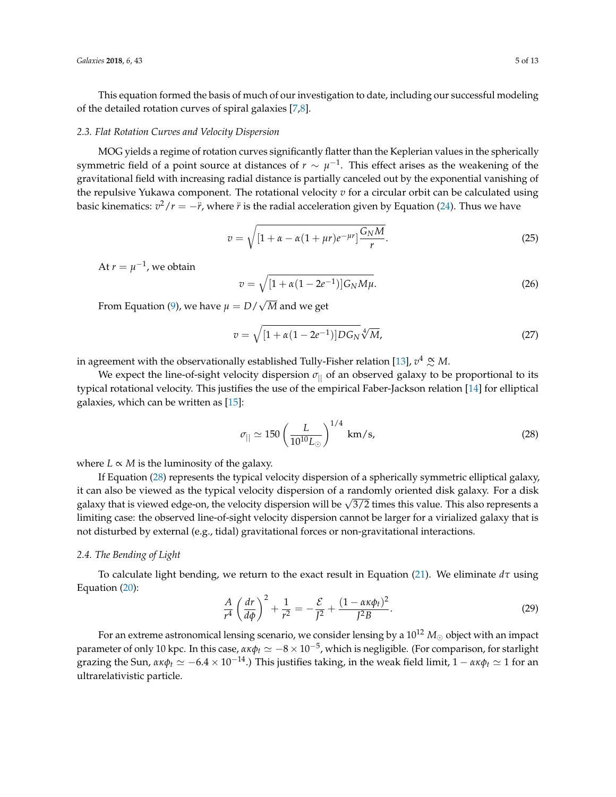This equation formed the basis of much of our investigation to date, including our successful modeling of the detailed rotation curves of spiral galaxies [\[7](#page-11-6)[,8\]](#page-12-0).

#### *2.3. Flat Rotation Curves and Velocity Dispersion*

MOG yields a regime of rotation curves significantly flatter than the Keplerian values in the spherically symmetric field of a point source at distances of  $r\sim \mu^{-1}.$  This effect arises as the weakening of the gravitational field with increasing radial distance is partially canceled out by the exponential vanishing of the repulsive Yukawa component. The rotational velocity  $v$  for a circular orbit can be calculated using basic kinematics:  $v^2/r = −\ddot{r}$ , where  $\ddot{r}$  is the radial acceleration given by Equation [\(24\)](#page-3-3). Thus we have

$$
v = \sqrt{\left[1 + \alpha - \alpha(1 + \mu r)e^{-\mu r}\right] \frac{G_N M}{r}}.
$$
\n(25)

At  $r = \mu^{-1}$ , we obtain

$$
v = \sqrt{[1 + \alpha(1 - 2e^{-1})]G_N M \mu}.
$$
\n(26)

From Equation [\(9\)](#page-2-0), we have  $\mu = D/$ *M* and we get

$$
v = \sqrt{[1 + \alpha(1 - 2e^{-1})]DG_N} \sqrt[4]{M},
$$
\n(27)

in agreement with the observationally established Tully-Fisher relation [\[13\]](#page-12-5), *v* <sup>4</sup> <sup>∝</sup><sup>∼</sup> *<sup>M</sup>*.

We expect the line-of-sight velocity dispersion  $\sigma_{\parallel}$  of an observed galaxy to be proportional to its typical rotational velocity. This justifies the use of the empirical Faber-Jackson relation [\[14\]](#page-12-6) for elliptical galaxies, which can be written as [\[15\]](#page-12-7):

<span id="page-4-0"></span>
$$
\sigma_{\parallel} \simeq 150 \left(\frac{L}{10^{10} L_{\odot}}\right)^{1/4} \text{ km/s},\tag{28}
$$

where  $L \propto M$  is the luminosity of the galaxy.

If Equation [\(28\)](#page-4-0) represents the typical velocity dispersion of a spherically symmetric elliptical galaxy, it can also be viewed as the typical velocity dispersion of a randomly oriented disk galaxy. For a disk rt can also be viewed as the typical velocity dispersion of a randomly oriented disk galaxy. For a disk<br>galaxy that is viewed edge-on, the velocity dispersion will be  $\sqrt{3/2}$  times this value. This also represents a limiting case: the observed line-of-sight velocity dispersion cannot be larger for a virialized galaxy that is not disturbed by external (e.g., tidal) gravitational forces or non-gravitational interactions.

## *2.4. The Bending of Light*

To calculate light bending, we return to the exact result in Equation [\(21\)](#page-3-0). We eliminate *dτ* using Equation [\(20\)](#page-3-4):

$$
\frac{A}{r^4} \left(\frac{dr}{d\phi}\right)^2 + \frac{1}{r^2} = -\frac{\mathcal{E}}{J^2} + \frac{(1 - \alpha\kappa\phi_t)^2}{J^2B}.
$$
\n(29)

For an extreme astronomical lensing scenario, we consider lensing by a  $10^{12} M_{\odot}$  object with an impact parameter of only 10 kpc. In this case, *ακφ<sup>t</sup>* ' −8 × 10−<sup>5</sup> , which is negligible. (For comparison, for starlight grazing the Sun,  $\alpha \kappa \phi_t \simeq -6.4 \times 10^{-14}$ .) This justifies taking, in the weak field limit,  $1 - \alpha \kappa \phi_t \simeq 1$  for an ultrarelativistic particle.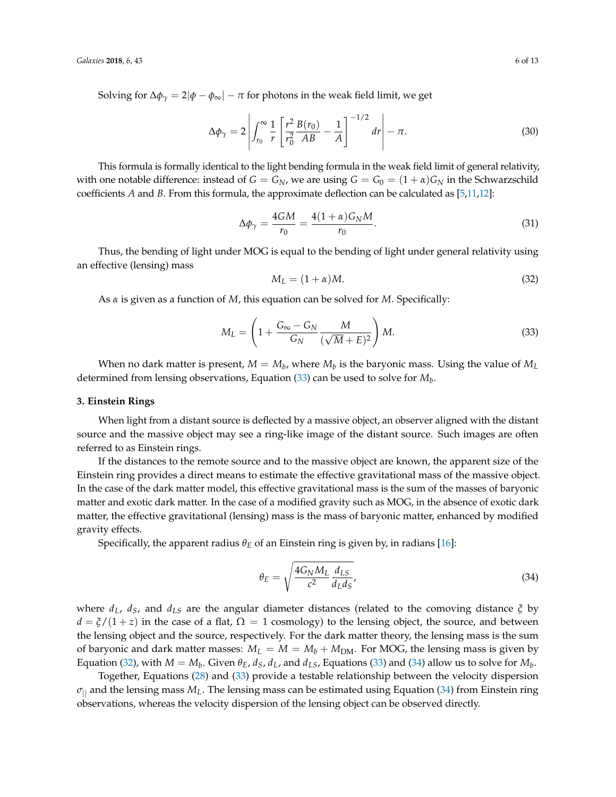Solving for  $\Delta\phi_{\gamma} = 2|\phi - \phi_{\infty}| - \pi$  for photons in the weak field limit, we get

$$
\Delta \phi_{\gamma} = 2 \left| \int_{r_0}^{\infty} \frac{1}{r} \left[ \frac{r^2}{r_0^2} \frac{B(r_0)}{AB} - \frac{1}{A} \right]^{-1/2} dr \right| - \pi.
$$
 (30)

This formula is formally identical to the light bending formula in the weak field limit of general relativity, with one notable difference: instead of  $G = G_N$ , we are using  $G = G_0 = (1 + \alpha)G_N$  in the Schwarzschild coefficients *A* and *B*. From this formula, the approximate deflection can be calculated as [\[5,](#page-11-4)[11,](#page-12-3)[12\]](#page-12-4):

$$
\Delta \phi_{\gamma} = \frac{4GM}{r_0} = \frac{4(1+\alpha)G_N M}{r_0}.
$$
\n(31)

Thus, the bending of light under MOG is equal to the bending of light under general relativity using an effective (lensing) mass

<span id="page-5-2"></span>
$$
M_L = (1 + \alpha)M. \tag{32}
$$

As *α* is given as a function of *M*, this equation can be solved for *M*. Specifically:

<span id="page-5-1"></span>
$$
M_L = \left(1 + \frac{G_{\infty} - G_N}{G_N} \frac{M}{(\sqrt{M} + E)^2}\right) M. \tag{33}
$$

When no dark matter is present,  $M = M_b$ , where  $M_b$  is the baryonic mass. Using the value of  $M_L$ determined from lensing observations, Equation [\(33\)](#page-5-1) can be used to solve for *M<sup>b</sup>* .

## <span id="page-5-0"></span>**3. Einstein Rings**

When light from a distant source is deflected by a massive object, an observer aligned with the distant source and the massive object may see a ring-like image of the distant source. Such images are often referred to as Einstein rings.

If the distances to the remote source and to the massive object are known, the apparent size of the Einstein ring provides a direct means to estimate the effective gravitational mass of the massive object. In the case of the dark matter model, this effective gravitational mass is the sum of the masses of baryonic matter and exotic dark matter. In the case of a modified gravity such as MOG, in the absence of exotic dark matter, the effective gravitational (lensing) mass is the mass of baryonic matter, enhanced by modified gravity effects.

Specifically, the apparent radius  $\theta_F$  of an Einstein ring is given by, in radians [\[16\]](#page-12-8):

<span id="page-5-3"></span>
$$
\theta_E = \sqrt{\frac{4G_N M_L}{c^2} \frac{d_{LS}}{d_L d_S}},\tag{34}
$$

where *dL*, *dS*, and *dLS* are the angular diameter distances (related to the comoving distance *ξ* by  $d = \xi/(1+z)$  in the case of a flat,  $\Omega = 1$  cosmology) to the lensing object, the source, and between the lensing object and the source, respectively. For the dark matter theory, the lensing mass is the sum of baryonic and dark matter masses:  $M_L = M = M_b + M_{DM}$ . For MOG, the lensing mass is given by Equation [\(32\)](#page-5-2), with  $M = M_b$ . Given  $\theta_E$ ,  $d_S$ ,  $d_L$ , and  $d_L$ s, Equations [\(33\)](#page-5-1) and [\(34\)](#page-5-3) allow us to solve for  $M_b$ .

Together, Equations [\(28\)](#page-4-0) and [\(33\)](#page-5-1) provide a testable relationship between the velocity dispersion  $\sigma_{\parallel}$  and the lensing mass  $M_L$ . The lensing mass can be estimated using Equation [\(34\)](#page-5-3) from Einstein ring observations, whereas the velocity dispersion of the lensing object can be observed directly.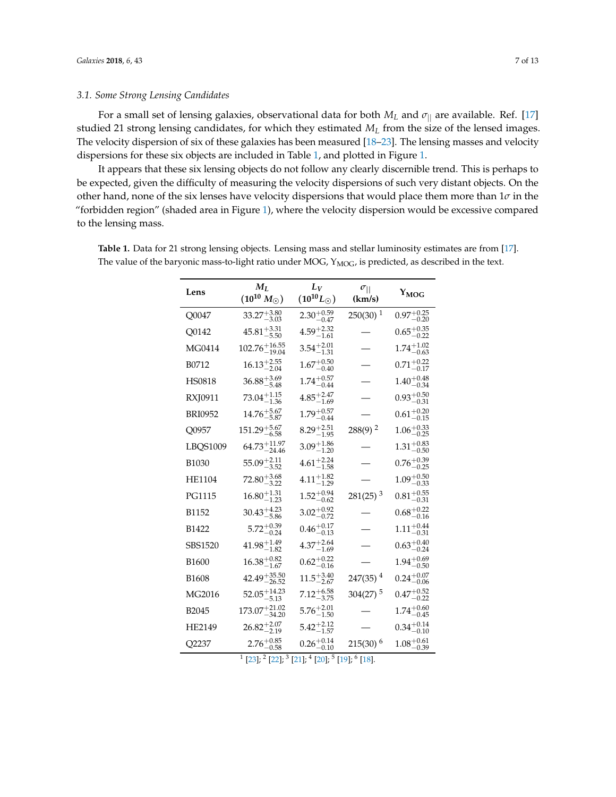## *3.1. Some Strong Lensing Candidates*

For a small set of lensing galaxies, observational data for both  $M_L$  and  $\sigma_{||}$  are available. Ref. [\[17\]](#page-12-9) studied 21 strong lensing candidates, for which they estimated *M<sup>L</sup>* from the size of the lensed images. The velocity dispersion of six of these galaxies has been measured [\[18](#page-12-10)[–23\]](#page-12-11). The lensing masses and velocity dispersions for these six objects are included in Table [1,](#page-6-0) and plotted in Figure [1.](#page-7-1)

It appears that these six lensing objects do not follow any clearly discernible trend. This is perhaps to be expected, given the difficulty of measuring the velocity dispersions of such very distant objects. On the other hand, none of the six lenses have velocity dispersions that would place them more than 1*σ* in the "forbidden region" (shaded area in Figure [1\)](#page-7-1), where the velocity dispersion would be excessive compared to the lensing mass.

| Lens                                                                                | $M_L$<br>$(10^{10} M_{\odot})$ | $L_V$<br>$(10^{10}L_{\odot})$         | $\sigma_{  }$<br>(km/s) | YMOG                   |  |  |
|-------------------------------------------------------------------------------------|--------------------------------|---------------------------------------|-------------------------|------------------------|--|--|
| Q0047                                                                               | $33.27^{+3.80}_{-3.03}$        | $2.30_{-0.47}^{+0.59}$                | $250(30)$ <sup>1</sup>  | $0.97^{+0.25}_{-0.20}$ |  |  |
| Q0142                                                                               | $45.81_{-5.50}^{+3.31}$        | $\mathrm{4.59_{-1.61}^{+2.32}}$       |                         | $0.65_{-0.22}^{+0.35}$ |  |  |
| MG0414                                                                              | $102.76^{+16.55}_{-19.04}$     | $3.54^{+2.01}_{-1.31}$                |                         | $1.74^{+1.02}_{-0.63}$ |  |  |
| B0712                                                                               | $16.13_{-2.04}^{+2.55}$        | $1.67^{+0.50}_{-0.40}$                |                         | $0.71^{+0.22}_{-0.17}$ |  |  |
| HS0818                                                                              | $36.88^{+3.69}_{-5.48}$        | $1.74_{-0.44}^{+0.57}$                |                         | $1.40^{+0.48}_{-0.34}$ |  |  |
| RXJ0911                                                                             | $73.04_{-1.36}^{+1.15}$        | $4.85^{+2.47}_{-1.69}$                |                         | $0.93^{+0.50}_{-0.31}$ |  |  |
| <b>BRI0952</b>                                                                      | $14.76^{+5.67}_{-5.87}$        | $1.79^{+0.57}_{-0.77}$<br>$-0.44$     |                         | $0.61_{-0.15}^{+0.20}$ |  |  |
| Q0957                                                                               | $151.29^{+5.67}_{-6.58}$       | $8.29_{-1.95}^{+2.51}$                | $288(9)$ <sup>2</sup>   | $1.06_{-0.25}^{+0.33}$ |  |  |
| LBQS1009                                                                            | $64.73_{-24.46}^{+11.97}$      | $3.09_{-1.20}^{+1.86}$                |                         | $1.31_{-0.50}^{+0.83}$ |  |  |
| <b>B1030</b>                                                                        | $55.09^{+2.11}_{-3.52}$        | $\phantom{0}4.61_{\,-1.58}^{\,+2.24}$ |                         | $0.76^{+0.39}_{-0.25}$ |  |  |
| <b>HE1104</b>                                                                       | $72.80_{-3.22}^{+3.68}$        | $4.11_{-1.29}^{+1.82}$                |                         | $1.09_{-0.33}^{+0.50}$ |  |  |
| <b>PG1115</b>                                                                       | $16.80_{-1.23}^{+1.31}$        | $1.52_{-0.62}^{+0.94}$                | $281(25)$ <sup>3</sup>  | $0.81^{+0.55}_{-0.31}$ |  |  |
| B1152                                                                               | $30.43^{+4.23}_{-5.86}$        | $3.02_{-0.72}^{+0.92}$                |                         | $0.68^{+0.22}_{-0.16}$ |  |  |
| <b>B1422</b>                                                                        | $5.72^{+0.39}_{-0.24}$         | $0.46^{+0.17}_{-0.13}$                |                         | $1.11^{+0.44}_{-0.31}$ |  |  |
| SBS1520                                                                             | $41.98^{+1.49}_{-1.82}$        | $4.37^{+2.64}_{-1.69}$                |                         | $0.63^{+0.40}_{-0.24}$ |  |  |
| <b>B1600</b>                                                                        | $16.38_{-1.67}^{+0.82}$        | $0.62^{+0.22}_{-0.16}$                |                         | $1.94^{+0.69}_{-0.50}$ |  |  |
| <b>B1608</b>                                                                        | $42.49^{+35.50}_{-26.52}$      | $11.5^{+3.40}_{-2.67}$                | $247(35)^4$             | $0.24_{-0.06}^{+0.07}$ |  |  |
| MG2016                                                                              | $52.05_{-5.13}^{+14.23}$       | $7.12^{+6.58}_{-3.75}$                | $304(27)$ <sup>5</sup>  | $0.47^{+0.52}_{-0.22}$ |  |  |
| B2045                                                                               | $173.07^{+21.02}_{-34.20}$     | $5.76^{+2.01}_{-1.50}$                |                         | $1.74^{+0.60}_{-0.45}$ |  |  |
| <b>HE2149</b>                                                                       | $26.82^{+2.07}_{-2.19}$        | $5.42_{-1.57}^{+2.12}$                |                         | $0.34_{-0.10}^{+0.14}$ |  |  |
| Q2237                                                                               | $2.76^{+0.85}_{-0.58}$         | $0.26_{-0.10}^{+0.14}$                | $215(30)^6$             | $1.08^{+0.61}_{-0.39}$ |  |  |
| $1$ [23] $\cdot$ 2 [22] $\cdot$ 3 [21] $\cdot$ 4 [20] $\cdot$ 5 [19] $\cdot$ 6 [18] |                                |                                       |                         |                        |  |  |

<span id="page-6-0"></span>**Table 1.** Data for 21 strong lensing objects. Lensing mass and stellar luminosity estimates are from [\[17\]](#page-12-9). The value of the baryonic mass-to-light ratio under MOG,  $Y_{MOG}$ , is predicted, as described in the text.

[\[23\]](#page-12-11); <sup>2</sup> [\[22\]](#page-12-12); <sup>3</sup> [\[21\]](#page-12-13); <sup>4</sup> [\[20\]](#page-12-14); <sup>5</sup> [\[19\]](#page-12-15); <sup>6</sup> [\[18\]](#page-12-10).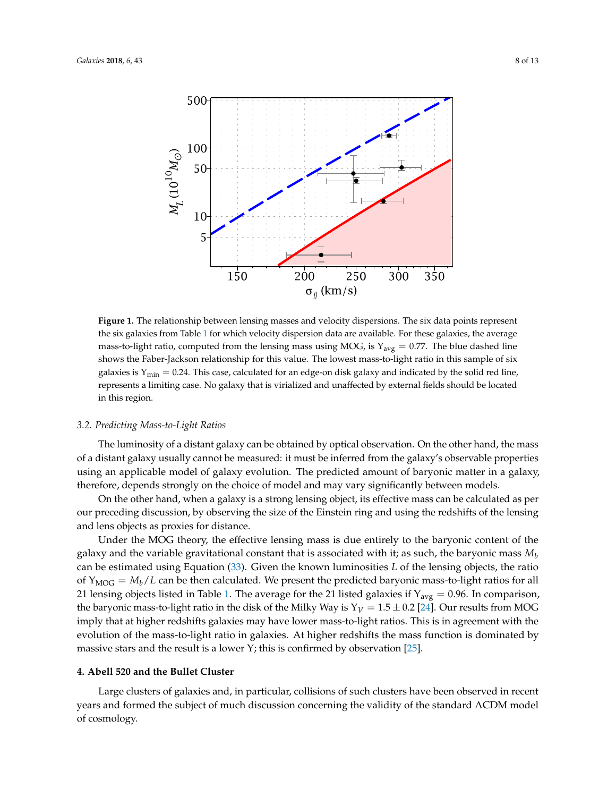<span id="page-7-1"></span>

**Figure 1.** The relationship between lensing masses and velocity dispersions. The six data points represent the six galaxies from Table [1](#page-6-0) for which velocity dispersion data are available. For these galaxies, the average mass-to-light ratio, computed from the lensing mass using MOG, is  $Y_{\text{avg}} = 0.77$ . The blue dashed line shows the Faber-Jackson relationship for this value. The lowest mass-to-light ratio in this sample of six galaxies is  $Y_{\text{min}} = 0.24$ . This case, calculated for an edge-on disk galaxy and indicated by the solid red line, represents a limiting case. No galaxy that is virialized and unaffected by external fields should be located in this region.

## *3.2. Predicting Mass-to-Light Ratios*

The luminosity of a distant galaxy can be obtained by optical observation. On the other hand, the mass of a distant galaxy usually cannot be measured: it must be inferred from the galaxy's observable properties using an applicable model of galaxy evolution. The predicted amount of baryonic matter in a galaxy, therefore, depends strongly on the choice of model and may vary significantly between models.

On the other hand, when a galaxy is a strong lensing object, its effective mass can be calculated as per our preceding discussion, by observing the size of the Einstein ring and using the redshifts of the lensing and lens objects as proxies for distance.

Under the MOG theory, the effective lensing mass is due entirely to the baryonic content of the galaxy and the variable gravitational constant that is associated with it; as such, the baryonic mass *M<sup>b</sup>* can be estimated using Equation [\(33\)](#page-5-1). Given the known luminosities *L* of the lensing objects, the ratio of  $Y_{\text{MOG}} = M_b/L$  can be then calculated. We present the predicted baryonic mass-to-light ratios for all 21 lensing objects listed in Table [1.](#page-6-0) The average for the 21 listed galaxies if  $Y_{avg} = 0.96$ . In comparison, the baryonic mass-to-light ratio in the disk of the Milky Way is  $Y_V = 1.5 \pm 0.2$  [\[24\]](#page-12-16). Our results from MOG imply that at higher redshifts galaxies may have lower mass-to-light ratios. This is in agreement with the evolution of the mass-to-light ratio in galaxies. At higher redshifts the mass function is dominated by massive stars and the result is a lower Y; this is confirmed by observation [\[25\]](#page-12-17).

## <span id="page-7-0"></span>**4. Abell 520 and the Bullet Cluster**

Large clusters of galaxies and, in particular, collisions of such clusters have been observed in recent years and formed the subject of much discussion concerning the validity of the standard ΛCDM model of cosmology.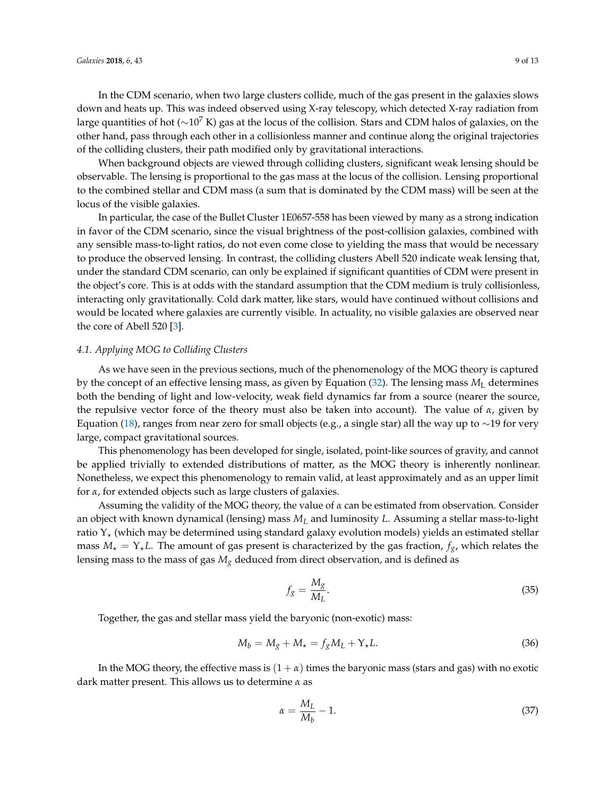of the colliding clusters, their path modified only by gravitational interactions. When background objects are viewed through colliding clusters, significant weak lensing should be observable. The lensing is proportional to the gas mass at the locus of the collision. Lensing proportional to the combined stellar and CDM mass (a sum that is dominated by the CDM mass) will be seen at the locus of the visible galaxies.

In particular, the case of the Bullet Cluster 1E0657-558 has been viewed by many as a strong indication in favor of the CDM scenario, since the visual brightness of the post-collision galaxies, combined with any sensible mass-to-light ratios, do not even come close to yielding the mass that would be necessary to produce the observed lensing. In contrast, the colliding clusters Abell 520 indicate weak lensing that, under the standard CDM scenario, can only be explained if significant quantities of CDM were present in the object's core. This is at odds with the standard assumption that the CDM medium is truly collisionless, interacting only gravitationally. Cold dark matter, like stars, would have continued without collisions and would be located where galaxies are currently visible. In actuality, no visible galaxies are observed near the core of Abell 520 [\[3\]](#page-11-2).

#### *4.1. Applying MOG to Colliding Clusters*

As we have seen in the previous sections, much of the phenomenology of the MOG theory is captured by the concept of an effective lensing mass, as given by Equation [\(32\)](#page-5-2). The lensing mass *M*<sup>L</sup> determines both the bending of light and low-velocity, weak field dynamics far from a source (nearer the source, the repulsive vector force of the theory must also be taken into account). The value of *α*, given by Equation [\(18\)](#page-3-5), ranges from near zero for small objects (e.g., a single star) all the way up to ∼19 for very large, compact gravitational sources.

This phenomenology has been developed for single, isolated, point-like sources of gravity, and cannot be applied trivially to extended distributions of matter, as the MOG theory is inherently nonlinear. Nonetheless, we expect this phenomenology to remain valid, at least approximately and as an upper limit for *α*, for extended objects such as large clusters of galaxies.

Assuming the validity of the MOG theory, the value of *α* can be estimated from observation. Consider an object with known dynamical (lensing) mass *M<sup>L</sup>* and luminosity *L*. Assuming a stellar mass-to-light ratio  $Y_{\star}$  (which may be determined using standard galaxy evolution models) yields an estimated stellar mass  $M_{\star} = Y_{\star}L$ . The amount of gas present is characterized by the gas fraction,  $f_g$ , which relates the lensing mass to the mass of gas *M<sup>g</sup>* deduced from direct observation, and is defined as

$$
f_g = \frac{M_g}{M_L}.\tag{35}
$$

Together, the gas and stellar mass yield the baryonic (non-exotic) mass:

$$
M_b = M_g + M_\star = f_g M_L + Y_\star L. \tag{36}
$$

In the MOG theory, the effective mass is  $(1 + \alpha)$  times the baryonic mass (stars and gas) with no exotic dark matter present. This allows us to determine *α* as

$$
\alpha = \frac{M_L}{M_b} - 1. \tag{37}
$$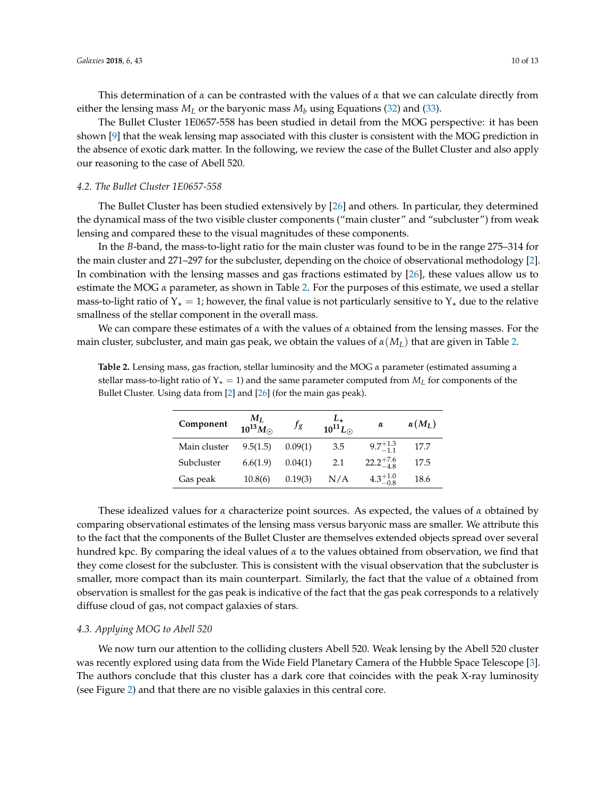This determination of *α* can be contrasted with the values of *α* that we can calculate directly from either the lensing mass  $M_L$  or the baryonic mass  $M_b$  using Equations [\(32\)](#page-5-2) and [\(33\)](#page-5-1).

The Bullet Cluster 1E0657-558 has been studied in detail from the MOG perspective: it has been shown [\[9\]](#page-12-1) that the weak lensing map associated with this cluster is consistent with the MOG prediction in the absence of exotic dark matter. In the following, we review the case of the Bullet Cluster and also apply our reasoning to the case of Abell 520.

#### *4.2. The Bullet Cluster 1E0657-558*

The Bullet Cluster has been studied extensively by [\[26\]](#page-12-18) and others. In particular, they determined the dynamical mass of the two visible cluster components ("main cluster" and "subcluster") from weak lensing and compared these to the visual magnitudes of these components.

In the *B*-band, the mass-to-light ratio for the main cluster was found to be in the range 275–314 for the main cluster and 271–297 for the subcluster, depending on the choice of observational methodology [\[2\]](#page-11-1). In combination with the lensing masses and gas fractions estimated by [\[26\]](#page-12-18), these values allow us to estimate the MOG *α* parameter, as shown in Table [2.](#page-9-0) For the purposes of this estimate, we used a stellar mass-to-light ratio of  $Y_* = 1$ ; however, the final value is not particularly sensitive to  $Y_*$  due to the relative smallness of the stellar component in the overall mass.

We can compare these estimates of *α* with the values of *α* obtained from the lensing masses. For the main cluster, subcluster, and main gas peak, we obtain the values of *α*(*ML*) that are given in Table [2.](#page-9-0)

| Component    | $M_L$<br>$10^{13} M_{\odot}$ | $f_{g}$ | $L_{\star}$<br>10 <sup>11</sup> L <sub>o</sub> | $\alpha$             | $\alpha(M_L)$ |
|--------------|------------------------------|---------|------------------------------------------------|----------------------|---------------|
| Main cluster | 9.5(1.5)                     | 0.09(1) | 3.5                                            | $9.7^{+1.3}_{-1.1}$  | 17.7          |
| Subcluster   | 6.6(1.9)                     | 0.04(1) | 2.1                                            | $22.2^{+7.6}_{-4.8}$ | 17.5          |
| Gas peak     | 10.8(6)                      | 0.19(3) | N/A                                            | $4.3^{+1.0}_{-0.8}$  | 18.6          |

<span id="page-9-0"></span>**Table 2.** Lensing mass, gas fraction, stellar luminosity and the MOG *α* parameter (estimated assuming a stellar mass-to-light ratio of  $Y_{\star} = 1$ ) and the same parameter computed from  $M_L$  for components of the Bullet Cluster. Using data from [\[2\]](#page-11-1) and [\[26\]](#page-12-18) (for the main gas peak).

These idealized values for *α* characterize point sources. As expected, the values of *α* obtained by comparing observational estimates of the lensing mass versus baryonic mass are smaller. We attribute this to the fact that the components of the Bullet Cluster are themselves extended objects spread over several hundred kpc. By comparing the ideal values of *α* to the values obtained from observation, we find that they come closest for the subcluster. This is consistent with the visual observation that the subcluster is smaller, more compact than its main counterpart. Similarly, the fact that the value of *α* obtained from observation is smallest for the gas peak is indicative of the fact that the gas peak corresponds to a relatively diffuse cloud of gas, not compact galaxies of stars.

## *4.3. Applying MOG to Abell 520*

We now turn our attention to the colliding clusters Abell 520. Weak lensing by the Abell 520 cluster was recently explored using data from the Wide Field Planetary Camera of the Hubble Space Telescope [\[3\]](#page-11-2). The authors conclude that this cluster has a dark core that coincides with the peak X-ray luminosity (see Figure [2\)](#page-10-0) and that there are no visible galaxies in this central core.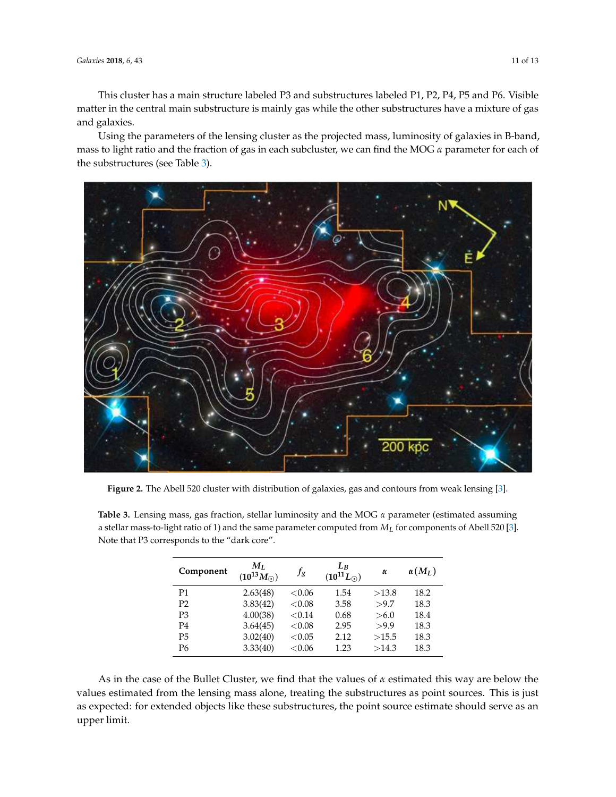This cluster has a main structure labeled P3 and substructures labeled P1, P2, P4, P5 and P6. Visible matter in the central main substructure is mainly gas while the other substructures have a mixture of gas and galaxies.

Using the parameters of the lensing cluster as the projected mass, luminosity of galaxies in B-band, mass to light ratio and the fraction of gas in each subcluster, we can find the MOG *α* parameter for each of the substructures (see Table [3\)](#page-10-1).

<span id="page-10-0"></span>

**Figure 2.** The Abell 520 cluster with distribution of galaxies, gas and contours from weak lensing [\[3\]](#page-11-2).

| Component      | $M_I$<br>$(10^{13} M_{\odot})$ | $f_{g}$   | $L_R$<br>$(10^{11}L_{\odot})$ | $\alpha$ | $\alpha(M_L)$ |
|----------------|--------------------------------|-----------|-------------------------------|----------|---------------|
| P1             | 2.63(48)                       | <0.06     | 1.54                          | >13.8    | 18.2          |
| P <sub>2</sub> | 3.83(42)                       | ${<}0.08$ | 3.58                          | >9.7     | 18.3          |
| P <sub>3</sub> | 4.00(38)                       | < 0.14    | 0.68                          | > 6.0    | 18.4          |
| P <sub>4</sub> | 3.64(45)                       | ${<}0.08$ | 2.95                          | >9.9     | 18.3          |
| P <sub>5</sub> | 3.02(40)                       | ${<}0.05$ | 2.12                          | >15.5    | 18.3          |
| P6             | 3.33(40)                       | <0.06     | 1.23                          | >14.3    | 18.3          |

<span id="page-10-1"></span>**Table 3.** Lensing mass, gas fraction, stellar luminosity and the MOG *α* parameter (estimated assuming a stellar mass-to-light ratio of 1) and the same parameter computed from *M<sup>L</sup>* for components of Abell 520 [\[3\]](#page-11-2). Note that P3 corresponds to the "dark core".

As in the case of the Bullet Cluster, we find that the values of *α* estimated this way are below the values estimated from the lensing mass alone, treating the substructures as point sources. This is just as expected: for extended objects like these substructures, the point source estimate should serve as an upper limit.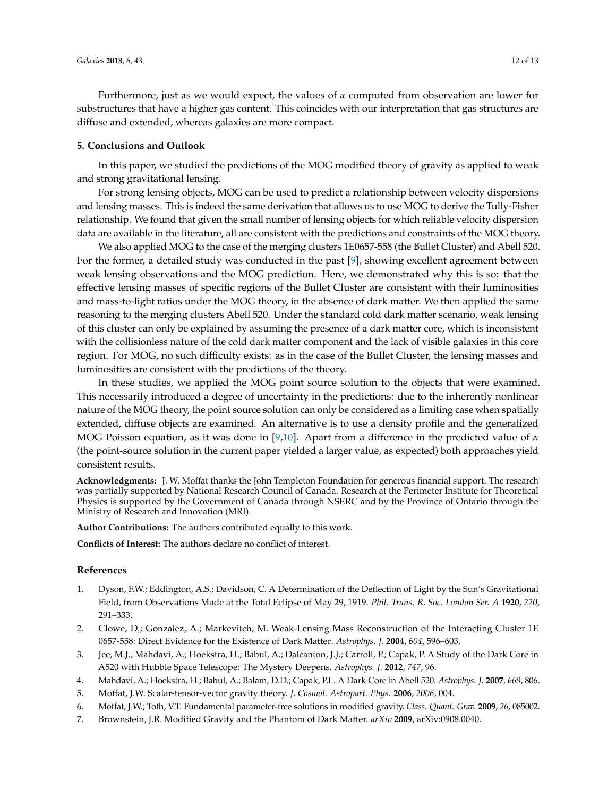Furthermore, just as we would expect, the values of *α* computed from observation are lower for substructures that have a higher gas content. This coincides with our interpretation that gas structures are diffuse and extended, whereas galaxies are more compact.

#### <span id="page-11-7"></span>**5. Conclusions and Outlook**

In this paper, we studied the predictions of the MOG modified theory of gravity as applied to weak and strong gravitational lensing.

For strong lensing objects, MOG can be used to predict a relationship between velocity dispersions and lensing masses. This is indeed the same derivation that allows us to use MOG to derive the Tully-Fisher relationship. We found that given the small number of lensing objects for which reliable velocity dispersion data are available in the literature, all are consistent with the predictions and constraints of the MOG theory.

We also applied MOG to the case of the merging clusters 1E0657-558 (the Bullet Cluster) and Abell 520. For the former, a detailed study was conducted in the past [\[9\]](#page-12-1), showing excellent agreement between weak lensing observations and the MOG prediction. Here, we demonstrated why this is so: that the effective lensing masses of specific regions of the Bullet Cluster are consistent with their luminosities and mass-to-light ratios under the MOG theory, in the absence of dark matter. We then applied the same reasoning to the merging clusters Abell 520. Under the standard cold dark matter scenario, weak lensing of this cluster can only be explained by assuming the presence of a dark matter core, which is inconsistent with the collisionless nature of the cold dark matter component and the lack of visible galaxies in this core region. For MOG, no such difficulty exists: as in the case of the Bullet Cluster, the lensing masses and luminosities are consistent with the predictions of the theory.

In these studies, we applied the MOG point source solution to the objects that were examined. This necessarily introduced a degree of uncertainty in the predictions: due to the inherently nonlinear nature of the MOG theory, the point source solution can only be considered as a limiting case when spatially extended, diffuse objects are examined. An alternative is to use a density profile and the generalized MOG Poisson equation, as it was done in [\[9,](#page-12-1)[10\]](#page-12-2). Apart from a difference in the predicted value of *α* (the point-source solution in the current paper yielded a larger value, as expected) both approaches yield consistent results.

**Acknowledgments:** J. W. Moffat thanks the John Templeton Foundation for generous financial support. The research was partially supported by National Research Council of Canada. Research at the Perimeter Institute for Theoretical Physics is supported by the Government of Canada through NSERC and by the Province of Ontario through the Ministry of Research and Innovation (MRI).

**Author Contributions:** The authors contributed equally to this work.

**Conflicts of Interest:** The authors declare no conflict of interest.

#### **References**

- <span id="page-11-0"></span>1. Dyson, F.W.; Eddington, A.S.; Davidson, C. A Determination of the Deflection of Light by the Sun's Gravitational Field, from Observations Made at the Total Eclipse of May 29, 1919. *Phil. Trans. R. Soc. London Ser. A* **1920**, *220*, 291–333.
- <span id="page-11-1"></span>2. Clowe, D.; Gonzalez, A.; Markevitch, M. Weak-Lensing Mass Reconstruction of the Interacting Cluster 1E 0657-558: Direct Evidence for the Existence of Dark Matter. *Astrophys. J.* **2004**, *604*, 596–603.
- <span id="page-11-2"></span>3. Jee, M.J.; Mahdavi, A.; Hoekstra, H.; Babul, A.; Dalcanton, J.J.; Carroll, P.; Capak, P. A Study of the Dark Core in A520 with Hubble Space Telescope: The Mystery Deepens. *Astrophys. J.* **2012**, *747*, 96.
- <span id="page-11-4"></span><span id="page-11-3"></span>4. Mahdavi, A.; Hoekstra, H.; Babul, A.; Balam, D.D.; Capak, P.L. A Dark Core in Abell 520. *Astrophys. J.* **2007**, *668*, 806.
- <span id="page-11-5"></span>5. Moffat, J.W. Scalar-tensor-vector gravity theory. *J. Cosmol. Astropart. Phys.* **2006**, *2006*, 004.
- 6. Moffat, J.W.; Toth, V.T. Fundamental parameter-free solutions in modified gravity. *Class. Quant. Grav.* **2009**, *26*, 085002.
- <span id="page-11-6"></span>7. Brownstein, J.R. Modified Gravity and the Phantom of Dark Matter. *arXiv* **2009**, arXiv:0908.0040.